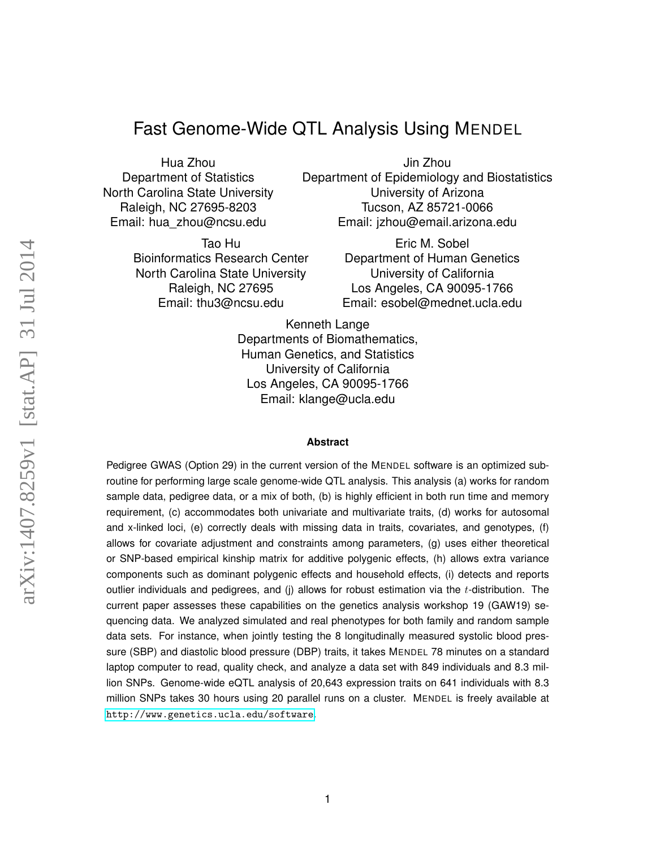# Fast Genome-Wide QTL Analysis Using MENDEL

Hua Zhou Department of Statistics North Carolina State University Raleigh, NC 27695-8203 Email: hua\_zhou@ncsu.edu

> Tao Hu Bioinformatics Research Center North Carolina State University Raleigh, NC 27695 Email: thu3@ncsu.edu

Jin Zhou Department of Epidemiology and Biostatistics University of Arizona Tucson, AZ 85721-0066 Email: jzhou@email.arizona.edu

> Eric M. Sobel Department of Human Genetics University of California Los Angeles, CA 90095-1766 Email: esobel@mednet.ucla.edu

Kenneth Lange Departments of Biomathematics, Human Genetics, and Statistics University of California Los Angeles, CA 90095-1766 Email: klange@ucla.edu

#### **Abstract**

Pedigree GWAS (Option 29) in the current version of the MENDEL software is an optimized subroutine for performing large scale genome-wide QTL analysis. This analysis (a) works for random sample data, pedigree data, or a mix of both, (b) is highly efficient in both run time and memory requirement, (c) accommodates both univariate and multivariate traits, (d) works for autosomal and x-linked loci, (e) correctly deals with missing data in traits, covariates, and genotypes, (f) allows for covariate adjustment and constraints among parameters, (g) uses either theoretical or SNP-based empirical kinship matrix for additive polygenic effects, (h) allows extra variance components such as dominant polygenic effects and household effects, (i) detects and reports outlier individuals and pedigrees, and (j) allows for robust estimation via the  $t$ -distribution. The current paper assesses these capabilities on the genetics analysis workshop 19 (GAW19) sequencing data. We analyzed simulated and real phenotypes for both family and random sample data sets. For instance, when jointly testing the 8 longitudinally measured systolic blood pressure (SBP) and diastolic blood pressure (DBP) traits, it takes MENDEL 78 minutes on a standard laptop computer to read, quality check, and analyze a data set with 849 individuals and 8.3 million SNPs. Genome-wide eQTL analysis of 20,643 expression traits on 641 individuals with 8.3 million SNPs takes 30 hours using 20 parallel runs on a cluster. MENDEL is freely available at <http://www.genetics.ucla.edu/software>.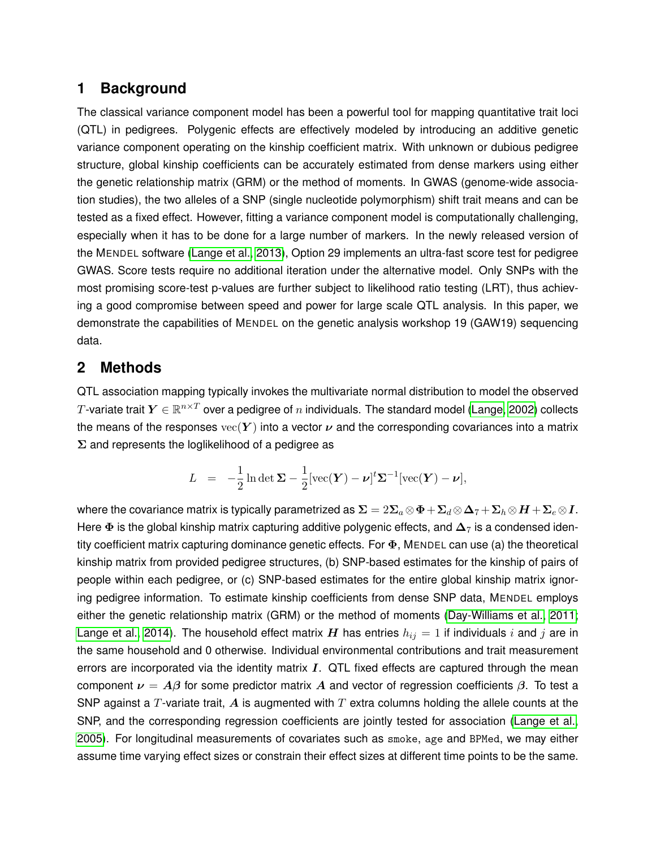# **1 Background**

The classical variance component model has been a powerful tool for mapping quantitative trait loci (QTL) in pedigrees. Polygenic effects are effectively modeled by introducing an additive genetic variance component operating on the kinship coefficient matrix. With unknown or dubious pedigree structure, global kinship coefficients can be accurately estimated from dense markers using either the genetic relationship matrix (GRM) or the method of moments. In GWAS (genome-wide association studies), the two alleles of a SNP (single nucleotide polymorphism) shift trait means and can be tested as a fixed effect. However, fitting a variance component model is computationally challenging, especially when it has to be done for a large number of markers. In the newly released version of the MENDEL software [\(Lange et al., 2013\)](#page-7-0), Option 29 implements an ultra-fast score test for pedigree GWAS. Score tests require no additional iteration under the alternative model. Only SNPs with the most promising score-test p-values are further subject to likelihood ratio testing (LRT), thus achieving a good compromise between speed and power for large scale QTL analysis. In this paper, we demonstrate the capabilities of MENDEL on the genetic analysis workshop 19 (GAW19) sequencing data.

### **2 Methods**

QTL association mapping typically invokes the multivariate normal distribution to model the observed  $T$ -variate trait  $\bm{Y} \in \mathbb{R}^{n \times T}$  over a pedigree of  $n$  individuals. The standard model [\(Lange, 2002\)](#page-7-1) collects the means of the responses  $\text{vec}(Y)$  into a vector  $\nu$  and the corresponding covariances into a matrix  $\Sigma$  and represents the loglikelihood of a pedigree as

$$
L = -\frac{1}{2}\ln \det \mathbf{\Sigma} - \frac{1}{2}[\text{vec}(\mathbf{Y}) - \boldsymbol{\nu}]^{t} \mathbf{\Sigma}^{-1}[\text{vec}(\mathbf{Y}) - \boldsymbol{\nu}],
$$

where the covariance matrix is typically parametrized as  $\Sigma = 2\Sigma_a \otimes \Phi + \Sigma_d \otimes \Delta_7 + \Sigma_h \otimes H + \Sigma_e \otimes I$ . Here  $\Phi$  is the global kinship matrix capturing additive polygenic effects, and  $\Delta_7$  is a condensed identity coefficient matrix capturing dominance genetic effects. For  $\Phi$ , MENDEL can use (a) the theoretical kinship matrix from provided pedigree structures, (b) SNP-based estimates for the kinship of pairs of people within each pedigree, or (c) SNP-based estimates for the entire global kinship matrix ignoring pedigree information. To estimate kinship coefficients from dense SNP data, MENDEL employs either the genetic relationship matrix (GRM) or the method of moments [\(Day-Williams et al., 2011;](#page-7-2) [Lange et al., 2014\)](#page-7-3). The household effect matrix  $H$  has entries  $h_{ij} = 1$  if individuals i and j are in the same household and 0 otherwise. Individual environmental contributions and trait measurement errors are incorporated via the identity matrix  $I$ . QTL fixed effects are captured through the mean component  $\nu = A\beta$  for some predictor matrix A and vector of regression coefficients  $\beta$ . To test a SNP against a T-variate trait, A is augmented with  $T$  extra columns holding the allele counts at the SNP, and the corresponding regression coefficients are jointly tested for association [\(Lange et al.,](#page-7-4) [2005\)](#page-7-4). For longitudinal measurements of covariates such as smoke, age and BPMed, we may either assume time varying effect sizes or constrain their effect sizes at different time points to be the same.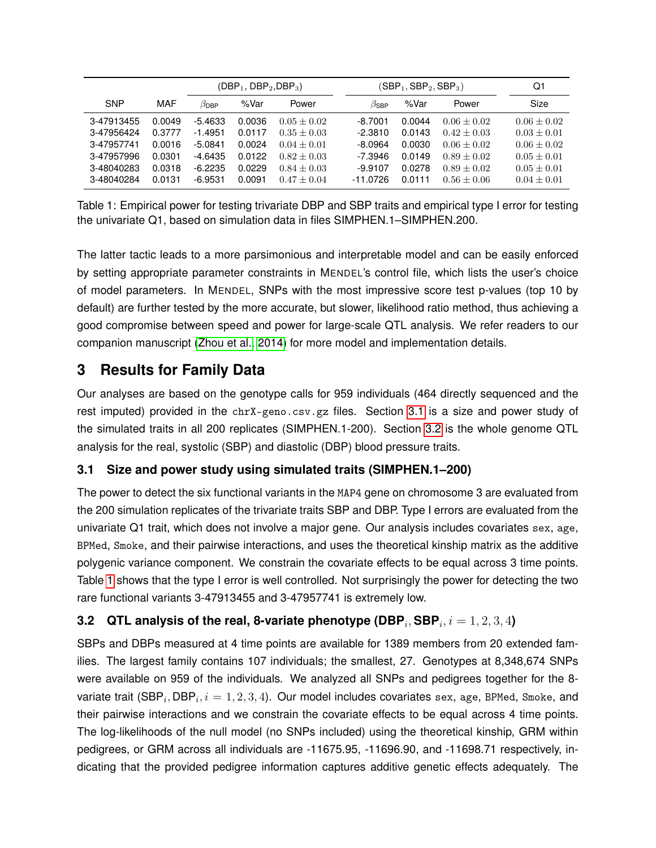|            |        | $(DBP_1, DBP_2, DBP_3)$ |        |               | $(SBP_1, SBP_2, SBP_3)$ |        |               | Q1            |
|------------|--------|-------------------------|--------|---------------|-------------------------|--------|---------------|---------------|
| <b>SNP</b> | MAF    | $\beta_\mathsf{DBP}$    | %Var   | Power         | $\beta$ SBP             | %Var   | Power         | Size          |
| 3-47913455 | 0.0049 | $-5.4633$               | 0.0036 | $0.05 + 0.02$ | $-8.7001$               | 0.0044 | $0.06 + 0.02$ | $0.06 + 0.02$ |
| 3-47956424 | 0.3777 | $-1.4951$               | 0.0117 | $0.35 + 0.03$ | $-2.3810$               | 0.0143 | $0.42 + 0.03$ | $0.03 + 0.01$ |
| 3-47957741 | 0.0016 | $-5.0841$               | 0.0024 | $0.04 + 0.01$ | $-8.0964$               | 0.0030 | $0.06 + 0.02$ | $0.06 + 0.02$ |
| 3-47957996 | 0.0301 | $-4.6435$               | 0.0122 | $0.82 + 0.03$ | $-7.3946$               | 0.0149 | $0.89 + 0.02$ | $0.05 + 0.01$ |
| 3-48040283 | 0.0318 | $-6.2235$               | 0.0229 | $0.84 + 0.03$ | $-9.9107$               | 0.0278 | $0.89 + 0.02$ | $0.05 + 0.01$ |
| 3-48040284 | 0.0131 | $-6.9531$               | 0.0091 | $0.47 + 0.04$ | $-11.0726$              | 0.0111 | $0.56 + 0.06$ | $0.04 + 0.01$ |

<span id="page-2-2"></span>Table 1: Empirical power for testing trivariate DBP and SBP traits and empirical type I error for testing the univariate Q1, based on simulation data in files SIMPHEN.1–SIMPHEN.200.

The latter tactic leads to a more parsimonious and interpretable model and can be easily enforced by setting appropriate parameter constraints in MENDEL's control file, which lists the user's choice of model parameters. In MENDEL, SNPs with the most impressive score test p-values (top 10 by default) are further tested by the more accurate, but slower, likelihood ratio method, thus achieving a good compromise between speed and power for large-scale QTL analysis. We refer readers to our companion manuscript [\(Zhou et al., 2014\)](#page-7-5) for more model and implementation details.

# **3 Results for Family Data**

Our analyses are based on the genotype calls for 959 individuals (464 directly sequenced and the rest imputed) provided in the chrX-geno.csv.gz files. Section [3.1](#page-2-0) is a size and power study of the simulated traits in all 200 replicates (SIMPHEN.1-200). Section [3.2](#page-2-1) is the whole genome QTL analysis for the real, systolic (SBP) and diastolic (DBP) blood pressure traits.

### <span id="page-2-0"></span>**3.1 Size and power study using simulated traits (SIMPHEN.1–200)**

The power to detect the six functional variants in the MAP4 gene on chromosome 3 are evaluated from the 200 simulation replicates of the trivariate traits SBP and DBP. Type I errors are evaluated from the univariate Q1 trait, which does not involve a major gene. Our analysis includes covariates sex, age, BPMed, Smoke, and their pairwise interactions, and uses the theoretical kinship matrix as the additive polygenic variance component. We constrain the covariate effects to be equal across 3 time points. Table [1](#page-2-2) shows that the type I error is well controlled. Not surprisingly the power for detecting the two rare functional variants 3-47913455 and 3-47957741 is extremely low.

### <span id="page-2-1"></span> $\textbf{3.2} \quad \textbf{QTL}$  analysis of the real, 8-variate phenotype (DBP $_i, \textbf{SBP}_i, i=1,2,3,4$ )

SBPs and DBPs measured at 4 time points are available for 1389 members from 20 extended families. The largest family contains 107 individuals; the smallest, 27. Genotypes at 8,348,674 SNPs were available on 959 of the individuals. We analyzed all SNPs and pedigrees together for the 8 variate trait (SBP $_i, {\sf DBP}_i, i=1, 2, 3, 4).$  Our model includes covariates sex, age, BPMed, Smoke, and their pairwise interactions and we constrain the covariate effects to be equal across 4 time points. The log-likelihoods of the null model (no SNPs included) using the theoretical kinship, GRM within pedigrees, or GRM across all individuals are -11675.95, -11696.90, and -11698.71 respectively, indicating that the provided pedigree information captures additive genetic effects adequately. The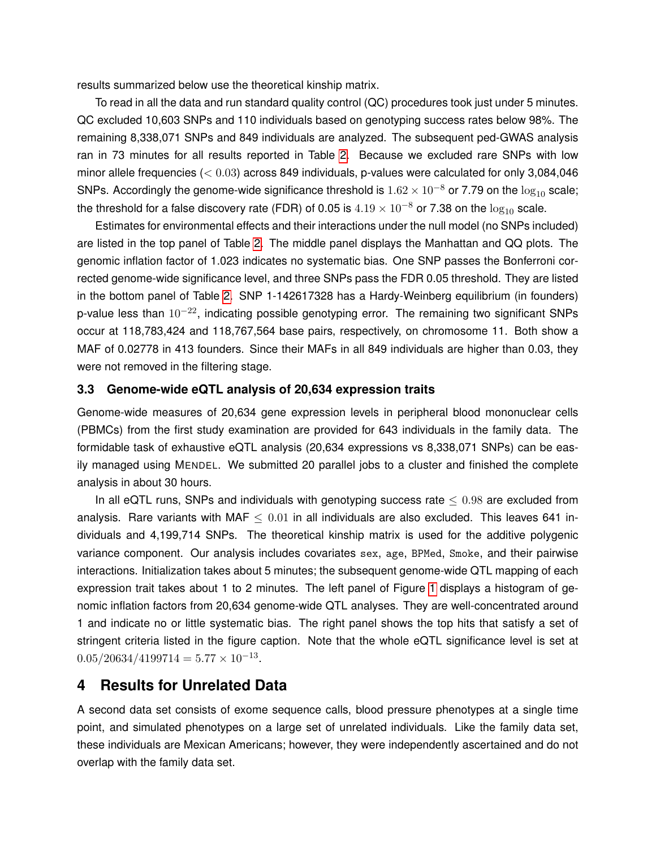results summarized below use the theoretical kinship matrix.

To read in all the data and run standard quality control (QC) procedures took just under 5 minutes. QC excluded 10,603 SNPs and 110 individuals based on genotyping success rates below 98%. The remaining 8,338,071 SNPs and 849 individuals are analyzed. The subsequent ped-GWAS analysis ran in 73 minutes for all results reported in Table [2.](#page-4-0) Because we excluded rare SNPs with low minor allele frequencies ( $< 0.03$ ) across 849 individuals, p-values were calculated for only 3,084,046 SNPs. Accordingly the genome-wide significance threshold is  $1.62 \times 10^{-8}$  or 7.79 on the  $\log_{10}$  scale; the threshold for a false discovery rate (FDR) of 0.05 is  $4.19 \times 10^{-8}$  or 7.38 on the  $\log_{10}$  scale.

Estimates for environmental effects and their interactions under the null model (no SNPs included) are listed in the top panel of Table [2.](#page-4-0) The middle panel displays the Manhattan and QQ plots. The genomic inflation factor of 1.023 indicates no systematic bias. One SNP passes the Bonferroni corrected genome-wide significance level, and three SNPs pass the FDR 0.05 threshold. They are listed in the bottom panel of Table [2.](#page-4-0) SNP 1-142617328 has a Hardy-Weinberg equilibrium (in founders) p-value less than  $10^{-22}$ , indicating possible genotyping error. The remaining two significant SNPs occur at 118,783,424 and 118,767,564 base pairs, respectively, on chromosome 11. Both show a MAF of 0.02778 in 413 founders. Since their MAFs in all 849 individuals are higher than 0.03, they were not removed in the filtering stage.

#### **3.3 Genome-wide eQTL analysis of 20,634 expression traits**

Genome-wide measures of 20,634 gene expression levels in peripheral blood mononuclear cells (PBMCs) from the first study examination are provided for 643 individuals in the family data. The formidable task of exhaustive eQTL analysis (20,634 expressions vs 8,338,071 SNPs) can be easily managed using MENDEL. We submitted 20 parallel jobs to a cluster and finished the complete analysis in about 30 hours.

In all eQTL runs, SNPs and individuals with genotyping success rate  $\leq 0.98$  are excluded from analysis. Rare variants with MAF  $\leq 0.01$  in all individuals are also excluded. This leaves 641 individuals and 4,199,714 SNPs. The theoretical kinship matrix is used for the additive polygenic variance component. Our analysis includes covariates sex, age, BPMed, Smoke, and their pairwise interactions. Initialization takes about 5 minutes; the subsequent genome-wide QTL mapping of each expression trait takes about 1 to 2 minutes. The left panel of Figure [1](#page-5-0) displays a histogram of genomic inflation factors from 20,634 genome-wide QTL analyses. They are well-concentrated around 1 and indicate no or little systematic bias. The right panel shows the top hits that satisfy a set of stringent criteria listed in the figure caption. Note that the whole eQTL significance level is set at  $0.05/20634/4199714 = 5.77 \times 10^{-13}.$ 

### **4 Results for Unrelated Data**

A second data set consists of exome sequence calls, blood pressure phenotypes at a single time point, and simulated phenotypes on a large set of unrelated individuals. Like the family data set, these individuals are Mexican Americans; however, they were independently ascertained and do not overlap with the family data set.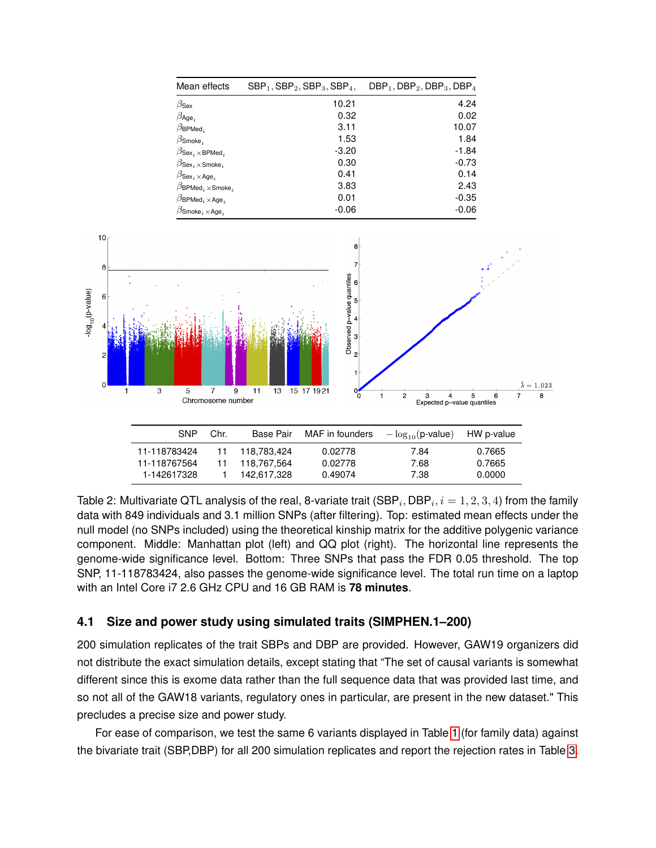| Mean effects                                         | $SBP_1$ , $SBP_2$ , $SBP_3$ , $SBP_4$ , | $DBP_1$ , $DBP_2$ , $DBP_3$ , $DBP_4$ |
|------------------------------------------------------|-----------------------------------------|---------------------------------------|
| $\beta_\mathsf{Sex}$                                 | 10.21                                   | 4.24                                  |
| $\beta_{\mathsf{Age}_i}$                             | 0.32                                    | 0.02                                  |
| $\beta_{\mathsf{BPMed}_i}$                           | 3.11                                    | 10.07                                 |
| $\beta$ Smoke <sub>i</sub>                           | 1.53                                    | 1.84                                  |
| $\beta$ Sex <sub>i</sub> × BPMed <sub>i</sub>        | $-3.20$                                 | $-1.84$                               |
| $\beta$ Sex $_i \times$ Smoke $_i$                   | 0.30                                    | $-0.73$                               |
| $\beta$ Sex $_i\times$ Age $_i$                      | 0.41                                    | 0.14                                  |
| $\beta$ BPMed, $\times$ Smoke,                       | 3.83                                    | 2.43                                  |
| $\beta$ BPMed <sub>i</sub> $\times$ Age <sub>i</sub> | 0.01                                    | $-0.35$                               |
| $\beta$ Smoke $_i\times$ Age $_i$                    | $-0.06$                                 | $-0.06$                               |



<span id="page-4-0"></span>Table 2: Multivariate QTL analysis of the real, 8-variate trait (SBP $_{i},$  DBP $_{i},$   $i=1,2,3,4)$  from the family data with 849 individuals and 3.1 million SNPs (after filtering). Top: estimated mean effects under the null model (no SNPs included) using the theoretical kinship matrix for the additive polygenic variance component. Middle: Manhattan plot (left) and QQ plot (right). The horizontal line represents the genome-wide significance level. Bottom: Three SNPs that pass the FDR 0.05 threshold. The top SNP, 11-118783424, also passes the genome-wide significance level. The total run time on a laptop with an Intel Core i7 2.6 GHz CPU and 16 GB RAM is **78 minutes**.

#### **4.1 Size and power study using simulated traits (SIMPHEN.1–200)**

200 simulation replicates of the trait SBPs and DBP are provided. However, GAW19 organizers did not distribute the exact simulation details, except stating that "The set of causal variants is somewhat different since this is exome data rather than the full sequence data that was provided last time, and so not all of the GAW18 variants, regulatory ones in particular, are present in the new dataset." This precludes a precise size and power study.

For ease of comparison, we test the same 6 variants displayed in Table [1](#page-2-2) (for family data) against the bivariate trait (SBP,DBP) for all 200 simulation replicates and report the rejection rates in Table [3.](#page-5-1)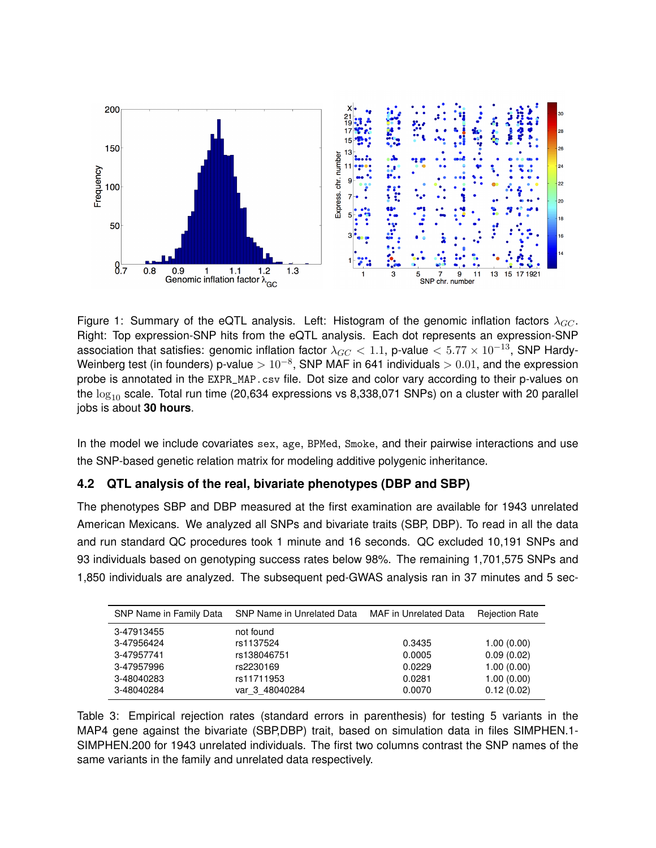

<span id="page-5-0"></span>Figure 1: Summary of the eQTL analysis. Left: Histogram of the genomic inflation factors  $\lambda_{GC}$ . Right: Top expression-SNP hits from the eQTL analysis. Each dot represents an expression-SNP association that satisfies: genomic inflation factor  $\lambda_{GC}$  < 1.1, p-value < 5.77 × 10<sup>-13</sup>, SNP Hardy-Weinberg test (in founders) p-value  $>10^{-8}$ , SNP MAF in 641 individuals  $>0.01$ , and the expression probe is annotated in the EXPR\_MAP.csv file. Dot size and color vary according to their p-values on the  $log_{10}$  scale. Total run time (20,634 expressions vs 8,338,071 SNPs) on a cluster with 20 parallel jobs is about **30 hours**.

In the model we include covariates sex, age, BPMed, Smoke, and their pairwise interactions and use the SNP-based genetic relation matrix for modeling additive polygenic inheritance.

### **4.2 QTL analysis of the real, bivariate phenotypes (DBP and SBP)**

The phenotypes SBP and DBP measured at the first examination are available for 1943 unrelated American Mexicans. We analyzed all SNPs and bivariate traits (SBP, DBP). To read in all the data and run standard QC procedures took 1 minute and 16 seconds. QC excluded 10,191 SNPs and 93 individuals based on genotyping success rates below 98%. The remaining 1,701,575 SNPs and 1,850 individuals are analyzed. The subsequent ped-GWAS analysis ran in 37 minutes and 5 sec-

| SNP Name in Family Data | SNP Name in Unrelated Data | <b>MAF</b> in Unrelated Data | <b>Rejection Rate</b> |
|-------------------------|----------------------------|------------------------------|-----------------------|
| 3-47913455              | not found                  |                              |                       |
| 3-47956424              | rs1137524                  | 0.3435                       | 1.00(0.00)            |
| 3-47957741              | rs138046751                | 0.0005                       | 0.09(0.02)            |
| 3-47957996              | rs2230169                  | 0.0229                       | 1.00(0.00)            |
| 3-48040283              | rs11711953                 | 0.0281                       | 1.00(0.00)            |
| 3-48040284              | var 3 48040284             | 0.0070                       | 0.12(0.02)            |

<span id="page-5-1"></span>Table 3: Empirical rejection rates (standard errors in parenthesis) for testing 5 variants in the MAP4 gene against the bivariate (SBP,DBP) trait, based on simulation data in files SIMPHEN.1- SIMPHEN.200 for 1943 unrelated individuals. The first two columns contrast the SNP names of the same variants in the family and unrelated data respectively.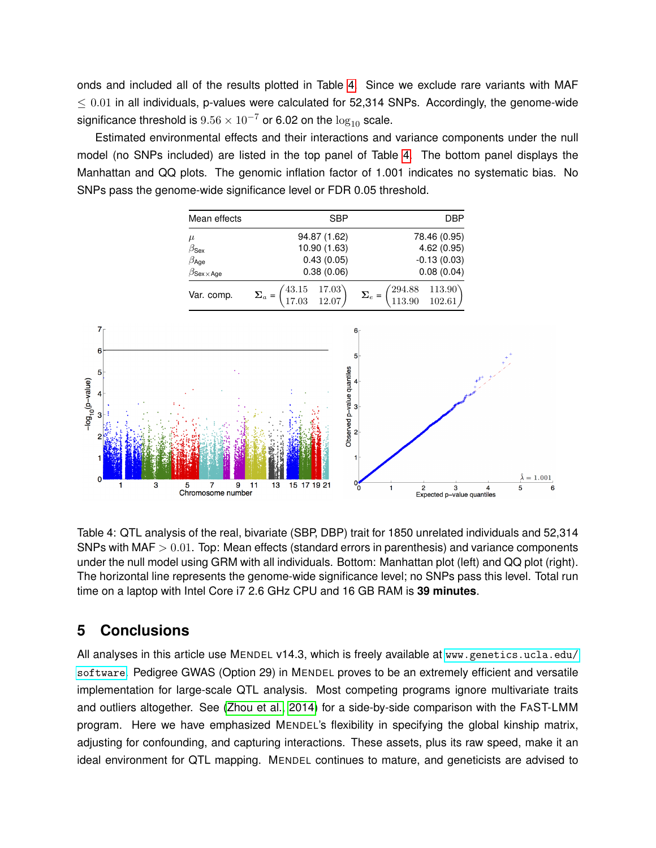onds and included all of the results plotted in Table [4.](#page-6-0) Since we exclude rare variants with MAF  $\leq$  0.01 in all individuals, p-values were calculated for 52,314 SNPs. Accordingly, the genome-wide significance threshold is  $9.56 \times 10^{-7}$  or 6.02 on the  $\log_{10}$  scale.

Estimated environmental effects and their interactions and variance components under the null model (no SNPs included) are listed in the top panel of Table [4.](#page-6-0) The bottom panel displays the Manhattan and QQ plots. The genomic inflation factor of 1.001 indicates no systematic bias. No SNPs pass the genome-wide significance level or FDR 0.05 threshold.



<span id="page-6-0"></span>Table 4: QTL analysis of the real, bivariate (SBP, DBP) trait for 1850 unrelated individuals and 52,314 SNPs with MAF  $> 0.01$ . Top: Mean effects (standard errors in parenthesis) and variance components under the null model using GRM with all individuals. Bottom: Manhattan plot (left) and QQ plot (right). The horizontal line represents the genome-wide significance level; no SNPs pass this level. Total run time on a laptop with Intel Core i7 2.6 GHz CPU and 16 GB RAM is **39 minutes**.

## **5 Conclusions**

All analyses in this article use MENDEL v14.3, which is freely available at [www.genetics.ucla.edu/](www.genetics.ucla.edu/software) [software](www.genetics.ucla.edu/software). Pedigree GWAS (Option 29) in MENDEL proves to be an extremely efficient and versatile implementation for large-scale QTL analysis. Most competing programs ignore multivariate traits and outliers altogether. See [\(Zhou et al., 2014\)](#page-7-5) for a side-by-side comparison with the FAST-LMM program. Here we have emphasized MENDEL's flexibility in specifying the global kinship matrix, adjusting for confounding, and capturing interactions. These assets, plus its raw speed, make it an ideal environment for QTL mapping. MENDEL continues to mature, and geneticists are advised to